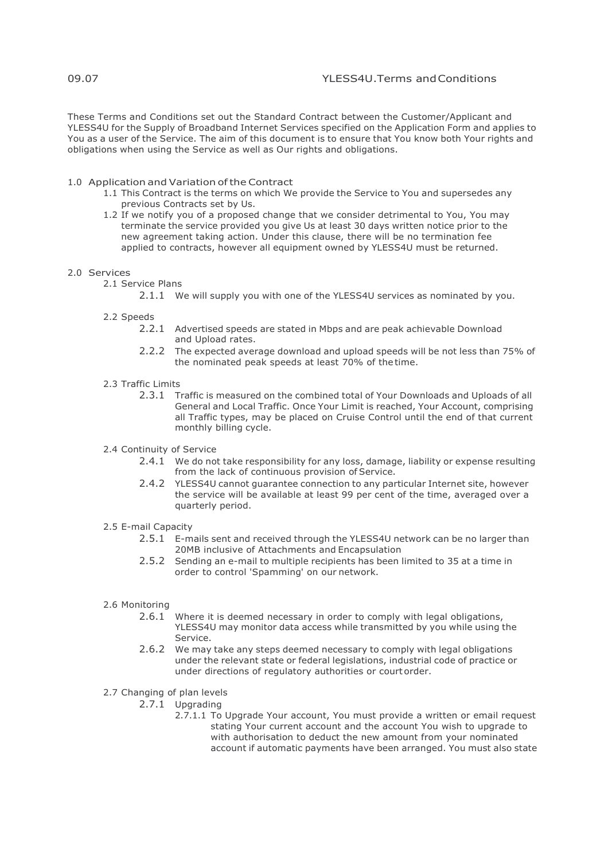These Terms and Conditions set out the Standard Contract between the Customer/Applicant and YLESS4U for the Supply of Broadband Internet Services specified on the Application Form and applies to You as a user of the Service. The aim of this document is to ensure that You know both Your rights and obligations when using the Service as well as Our rights and obligations.

## 1.0 Application and Variation of the Contract

- 1.1 This Contract is the terms on which We provide the Service to You and supersedes any previous Contracts set by Us.
- 1.2 If we notify you of a proposed change that we consider detrimental to You, You may terminate the service provided you give Us at least 30 days written notice prior to the new agreement taking action. Under this clause, there will be no termination fee applied to contracts, however all equipment owned by YLESS4U must be returned.

#### 2.0 Services

- 2.1 Service Plans
	- 2.1.1 We will supply you with one of the YLESS4U services as nominated by you.
	- 2.2 Speeds
		- 2.2.1 Advertised speeds are stated in Mbps and are peak achievable Download and Upload rates.
		- 2.2.2 The expected average download and upload speeds will be not less than 75% of the nominated peak speeds at least 70% of thetime.
	- 2.3 Traffic Limits
		- 2.3.1 Traffic is measured on the combined total of Your Downloads and Uploads of all General and Local Traffic. Once Your Limit is reached, Your Account, comprising all Traffic types, may be placed on Cruise Control until the end of that current monthly billing cycle.
	- 2.4 Continuity of Service
		- 2.4.1 We do not take responsibility for any loss, damage, liability or expense resulting from the lack of continuous provision of Service.
		- 2.4.2 YLESS4U cannot guarantee connection to any particular Internet site, however the service will be available at least 99 per cent of the time, averaged over a quarterly period.

#### 2.5 E-mail Capacity

- 2.5.1 E-mails sent and received through the YLESS4U network can be no larger than 20MB inclusive of Attachments and Encapsulation
- 2.5.2 Sending an e-mail to multiple recipients has been limited to 35 at a time in order to control 'Spamming' on our network.

## 2.6 Monitoring

- 2.6.1 Where it is deemed necessary in order to comply with legal obligations, YLESS4U may monitor data access while transmitted by you while using the Service.
- 2.6.2 We may take any steps deemed necessary to comply with legal obligations under the relevant state or federal legislations, industrial code of practice or under directions of regulatory authorities or court order.

# 2.7 Changing of plan levels

- 2.7.1 Upgrading
	- 2.7.1.1 To Upgrade Your account, You must provide a written or email request stating Your current account and the account You wish to upgrade to with authorisation to deduct the new amount from your nominated account if automatic payments have been arranged. You must also state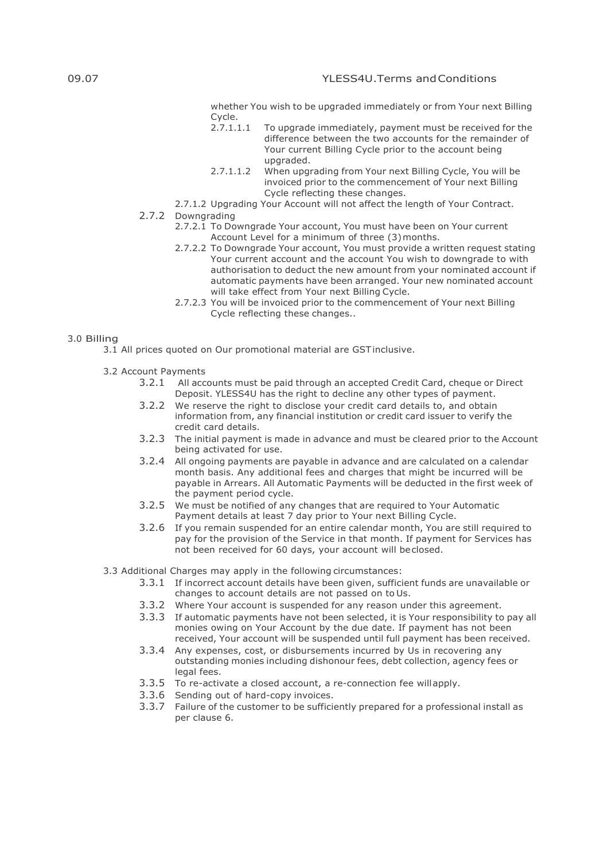whether You wish to be upgraded immediately or from Your next Billing Cycle.<br>2.7.1.1.1

- To upgrade immediately, payment must be received for the difference between the two accounts for the remainder of Your current Billing Cycle prior to the account being upgraded.
- 2.7.1.1.2 When upgrading from Your next Billing Cycle, You will be invoiced prior to the commencement of Your next Billing Cycle reflecting these changes.
- 2.7.1.2 Upgrading Your Account will not affect the length of Your Contract.

# 2.7.2 Downgrading

- 2.7.2.1 To Downgrade Your account, You must have been on Your current Account Level for a minimum of three (3)months.
- 2.7.2.2 To Downgrade Your account, You must provide a written request stating Your current account and the account You wish to downgrade to with authorisation to deduct the new amount from your nominated account if automatic payments have been arranged. Your new nominated account will take effect from Your next Billing Cycle.
- 2.7.2.3 You will be invoiced prior to the commencement of Your next Billing Cycle reflecting these changes..

## 3.0 Billing

- 3.1 All prices quoted on Our promotional material are GSTinclusive.
- 3.2 Account Payments
	- 3.2.1 All accounts must be paid through an accepted Credit Card, cheque or Direct Deposit. YLESS4U has the right to decline any other types of payment.
	- 3.2.2 We reserve the right to disclose your credit card details to, and obtain information from, any financial institution or credit card issuer to verify the credit card details.
	- 3.2.3 The initial payment is made in advance and must be cleared prior to the Account being activated for use.
	- 3.2.4 All ongoing payments are payable in advance and are calculated on a calendar month basis. Any additional fees and charges that might be incurred will be payable in Arrears. All Automatic Payments will be deducted in the first week of the payment period cycle.
	- 3.2.5 We must be notified of any changes that are required to Your Automatic Payment details at least 7 day prior to Your next Billing Cycle.
	- 3.2.6 If you remain suspended for an entire calendar month, You are still required to pay for the provision of the Service in that month. If payment for Services has not been received for 60 days, your account will beclosed.

3.3 Additional Charges may apply in the following circumstances:

- 3.3.1 If incorrect account details have been given, sufficient funds are unavailable or changes to account details are not passed on to Us.
- 3.3.2 Where Your account is suspended for any reason under this agreement.
- 3.3.3 If automatic payments have not been selected, it is Your responsibility to pay all monies owing on Your Account by the due date. If payment has not been received, Your account will be suspended until full payment has been received.
- 3.3.4 Any expenses, cost, or disbursements incurred by Us in recovering any outstanding monies including dishonour fees, debt collection, agency fees or legal fees.
- 3.3.5 To re-activate a closed account, a re-connection fee willapply.
- 3.3.6 Sending out of hard-copy invoices.
- 3.3.7 Failure of the customer to be sufficiently prepared for a professional install as per clause 6.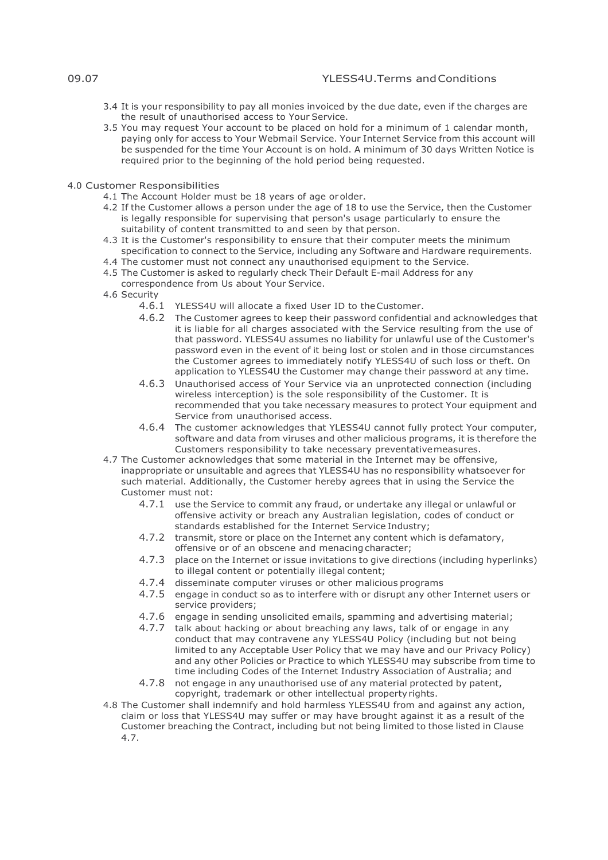- 3.4 It is your responsibility to pay all monies invoiced by the due date, even if the charges are the result of unauthorised access to Your Service.
- 3.5 You may request Your account to be placed on hold for a minimum of 1 calendar month, paying only for access to Your Webmail Service. Your Internet Service from this account will be suspended for the time Your Account is on hold. A minimum of 30 days Written Notice is required prior to the beginning of the hold period being requested.
- 4.0 Customer Responsibilities
	- 4.1 The Account Holder must be 18 years of age orolder.
	- 4.2 If the Customer allows a person under the age of 18 to use the Service, then the Customer is legally responsible for supervising that person's usage particularly to ensure the suitability of content transmitted to and seen by that person.
	- 4.3 It is the Customer's responsibility to ensure that their computer meets the minimum specification to connect to the Service, including any Software and Hardware requirements.
	- 4.4 The customer must not connect any unauthorised equipment to the Service.
	- 4.5 The Customer is asked to regularly check Their Default E-mail Address for any correspondence from Us about Your Service.
	- 4.6 Security
		- 4.6.1 YLESS4U will allocate a fixed User ID to theCustomer.
		- 4.6.2 The Customer agrees to keep their password confidential and acknowledges that it is liable for all charges associated with the Service resulting from the use of that password. YLESS4U assumes no liability for unlawful use of the Customer's password even in the event of it being lost or stolen and in those circumstances the Customer agrees to immediately notify YLESS4U of such loss or theft. On application to YLESS4U the Customer may change their password at any time.
		- 4.6.3 Unauthorised access of Your Service via an unprotected connection (including wireless interception) is the sole responsibility of the Customer. It is recommended that you take necessary measures to protect Your equipment and Service from unauthorised access.
		- 4.6.4 The customer acknowledges that YLESS4U cannot fully protect Your computer, software and data from viruses and other malicious programs, it is therefore the Customers responsibility to take necessary preventativemeasures.
	- 4.7 The Customer acknowledges that some material in the Internet may be offensive, inappropriate or unsuitable and agrees that YLESS4U has no responsibility whatsoever for such material. Additionally, the Customer hereby agrees that in using the Service the Customer must not:
		- 4.7.1 use the Service to commit any fraud, or undertake any illegal or unlawful or offensive activity or breach any Australian legislation, codes of conduct or standards established for the Internet Service Industry;
		- 4.7.2 transmit, store or place on the Internet any content which is defamatory, offensive or of an obscene and menacing character;
		- 4.7.3 place on the Internet or issue invitations to give directions (including hyperlinks) to illegal content or potentially illegal content;
		- 4.7.4 disseminate computer viruses or other malicious programs
		- 4.7.5 engage in conduct so as to interfere with or disrupt any other Internet users or service providers;
		- 4.7.6 engage in sending unsolicited emails, spamming and advertising material;
		- 4.7.7 talk about hacking or about breaching any laws, talk of or engage in any conduct that may contravene any YLESS4U Policy (including but not being limited to any Acceptable User Policy that we may have and our Privacy Policy) and any other Policies or Practice to which YLESS4U may subscribe from time to time including Codes of the Internet Industry Association of Australia; and
		- 4.7.8 not engage in any unauthorised use of any material protected by patent, copyright, trademark or other intellectual property rights.
	- 4.8 The Customer shall indemnify and hold harmless YLESS4U from and against any action, claim or loss that YLESS4U may suffer or may have brought against it as a result of the Customer breaching the Contract, including but not being limited to those listed in Clause 4.7.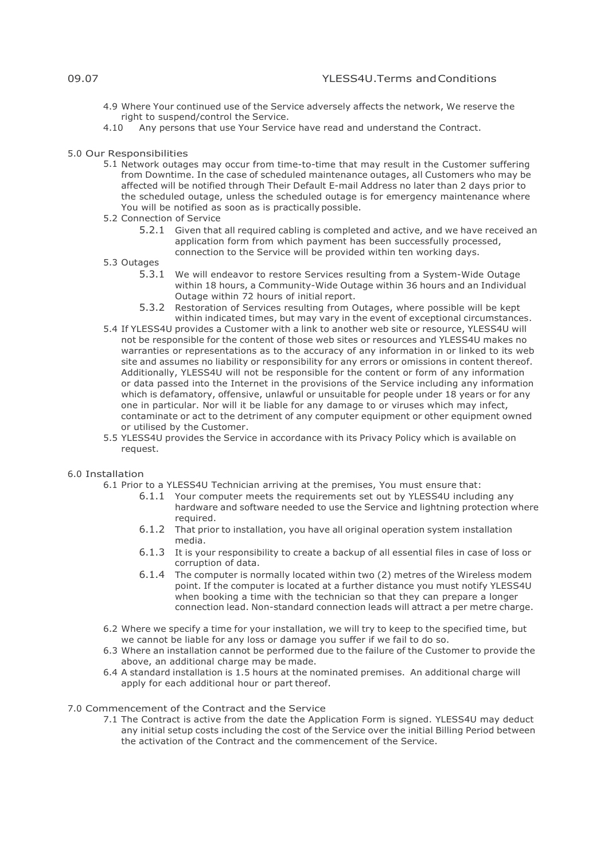- 4.9 Where Your continued use of the Service adversely affects the network, We reserve the right to suspend/control the Service.<br>4.10 Any persons that use Your Servic
- Any persons that use Your Service have read and understand the Contract.

#### 5.0 Our Responsibilities

- 5.1 Network outages may occur from time-to-time that may result in the Customer suffering from Downtime. In the case of scheduled maintenance outages, all Customers who may be affected will be notified through Their Default E-mail Address no later than 2 days prior to the scheduled outage, unless the scheduled outage is for emergency maintenance where You will be notified as soon as is practically possible.
- 5.2 Connection of Service
	- 5.2.1 Given that all required cabling is completed and active, and we have received an application form from which payment has been successfully processed, connection to the Service will be provided within ten working days.
- 5.3 Outages
	- 5.3.1 We will endeavor to restore Services resulting from a System-Wide Outage within 18 hours, a Community-Wide Outage within 36 hours and an Individual Outage within 72 hours of initial report.
	- 5.3.2 Restoration of Services resulting from Outages, where possible will be kept within indicated times, but may vary in the event of exceptional circumstances.
- 5.4 If YLESS4U provides a Customer with a link to another web site or resource, YLESS4U will not be responsible for the content of those web sites or resources and YLESS4U makes no warranties or representations as to the accuracy of any information in or linked to its web site and assumes no liability or responsibility for any errors or omissions in content thereof. Additionally, YLESS4U will not be responsible for the content or form of any information or data passed into the Internet in the provisions of the Service including any information which is defamatory, offensive, unlawful or unsuitable for people under 18 years or for any one in particular. Nor will it be liable for any damage to or viruses which may infect, contaminate or act to the detriment of any computer equipment or other equipment owned or utilised by the Customer.
- 5.5 YLESS4U provides the Service in accordance with its Privacy Policy which is available on request.

## 6.0 Installation

- 6.1 Prior to a YLESS4U Technician arriving at the premises, You must ensure that:
	- 6.1.1 Your computer meets the requirements set out by YLESS4U including any hardware and software needed to use the Service and lightning protection where required.
	- 6.1.2 That prior to installation, you have all original operation system installation media.
	- 6.1.3 It is your responsibility to create a backup of all essential files in case of loss or corruption of data.
	- 6.1.4 The computer is normally located within two (2) metres of the Wireless modem point. If the computer is located at a further distance you must notify YLESS4U when booking a time with the technician so that they can prepare a longer connection lead. Non-standard connection leads will attract a per metre charge.
- 6.2 Where we specify a time for your installation, we will try to keep to the specified time, but we cannot be liable for any loss or damage you suffer if we fail to do so.
- 6.3 Where an installation cannot be performed due to the failure of the Customer to provide the above, an additional charge may be made.
- 6.4 A standard installation is 1.5 hours at the nominated premises. An additional charge will apply for each additional hour or part thereof.

# 7.0 Commencement of the Contract and the Service

7.1 The Contract is active from the date the Application Form is signed. YLESS4U may deduct any initial setup costs including the cost of the Service over the initial Billing Period between the activation of the Contract and the commencement of the Service.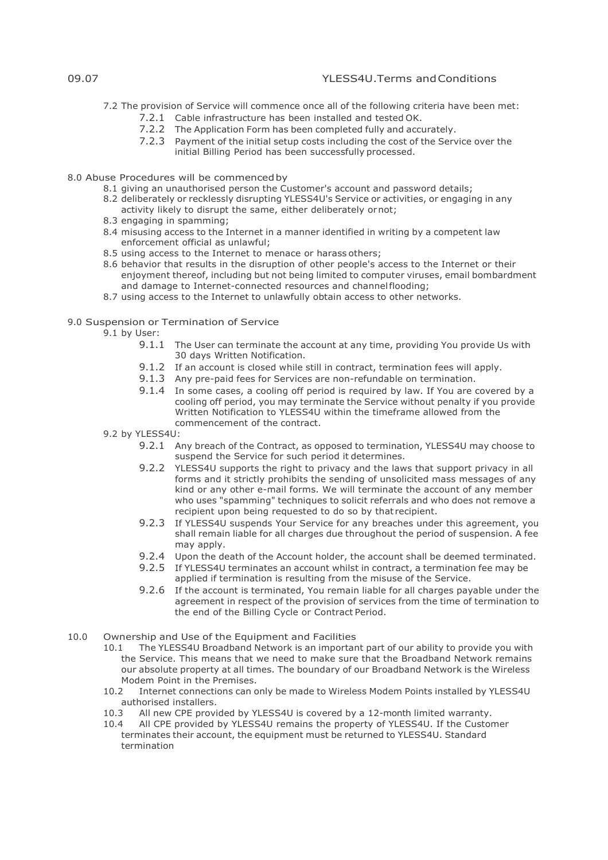7.2 The provision of Service will commence once all of the following criteria have been met:

- 7.2.1 Cable infrastructure has been installed and tested OK.
- 7.2.2 The Application Form has been completed fully and accurately.
- 7.2.3 Payment of the initial setup costs including the cost of the Service over the initial Billing Period has been successfully processed.
- 8.0 Abuse Procedures will be commencedby
	- 8.1 giving an unauthorised person the Customer's account and password details;
	- 8.2 deliberately or recklessly disrupting YLESS4U's Service or activities, or engaging in any activity likely to disrupt the same, either deliberately ornot;
	- 8.3 engaging in spamming;
	- 8.4 misusing access to the Internet in a manner identified in writing by a competent law enforcement official as unlawful;
	- 8.5 using access to the Internet to menace or harass others;
	- 8.6 behavior that results in the disruption of other people's access to the Internet or their enjoyment thereof, including but not being limited to computer viruses, email bombardment and damage to Internet-connected resources and channelflooding;
	- 8.7 using access to the Internet to unlawfully obtain access to other networks.
- 9.0 Suspension or Termination of Service
	- 9.1 by User:
		- 9.1.1 The User can terminate the account at any time, providing You provide Us with 30 days Written Notification.
		- 9.1.2 If an account is closed while still in contract, termination fees will apply.
		- 9.1.3 Any pre-paid fees for Services are non-refundable on termination.
		- 9.1.4 In some cases, a cooling off period is required by law. If You are covered by a cooling off period, you may terminate the Service without penalty if you provide Written Notification to YLESS4U within the timeframe allowed from the commencement of the contract.
		- 9.2 by YLESS4U:
			- 9.2.1 Any breach of the Contract, as opposed to termination, YLESS4U may choose to suspend the Service for such period it determines.
			- 9.2.2 YLESS4U supports the right to privacy and the laws that support privacy in all forms and it strictly prohibits the sending of unsolicited mass messages of any kind or any other e-mail forms. We will terminate the account of any member who uses "spamming" techniques to solicit referrals and who does not remove a recipient upon being requested to do so by that recipient.
			- 9.2.3 If YLESS4U suspends Your Service for any breaches under this agreement, you shall remain liable for all charges due throughout the period of suspension. A fee may apply.
			- 9.2.4 Upon the death of the Account holder, the account shall be deemed terminated.
			- 9.2.5 If YLESS4U terminates an account whilst in contract, a termination fee may be applied if termination is resulting from the misuse of the Service.
			- 9.2.6 If the account is terminated, You remain liable for all charges payable under the agreement in respect of the provision of services from the time of termination to the end of the Billing Cycle or Contract Period.
- 10.0 Ownership and Use of the Equipment and Facilities<br>10.1 The YLESS4U Broadband Network is an importan
	- The YLESS4U Broadband Network is an important part of our ability to provide you with the Service. This means that we need to make sure that the Broadband Network remains our absolute property at all times. The boundary of our Broadband Network is the Wireless Modem Point in the Premises.<br>10.2 Internet connections can o
	- 10.2 Internet connections can only be made to Wireless Modem Points installed by YLESS4U authorised installers.<br>10.3 All new CPF provi
	- All new CPE provided by YLESS4U is covered by a 12-month limited warranty.
	- 10.4 All CPE provided by YLESS4U remains the property of YLESS4U. If the Customer terminates their account, the equipment must be returned to YLESS4U. Standard termination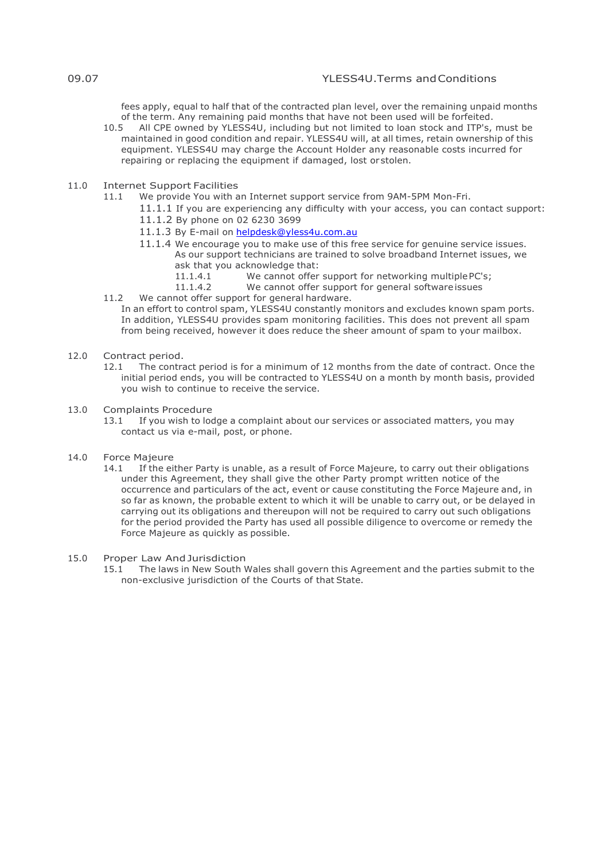fees apply, equal to half that of the contracted plan level, over the remaining unpaid months of the term. Any remaining paid months that have not been used will be forfeited.<br>10.5 All CPF owned by YLESS4U, including but not limited to loan stock and ITP's.

- All CPE owned by YLESS4U, including but not limited to loan stock and ITP's, must be maintained in good condition and repair. YLESS4U will, at all times, retain ownership of this equipment. YLESS4U may charge the Account Holder any reasonable costs incurred for repairing or replacing the equipment if damaged, lost or stolen.
- 11.0 Internet Support Facilities<br>11.1 We provide You with a
	- We provide You with an Internet support service from 9AM-5PM Mon-Fri.
		- 11.1.1 If you are experiencing any difficulty with your access, you can contact support:
			- 11.1.2 By phone on 02 6230 3699
			- 11.1.3 By E-mail on [helpdesk@yless4u.com.au](mailto:helpdesk@yless4u.com.au)
			- 11.1.4 We encourage you to make use of this free service for genuine service issues.
				- As our support technicians are trained to solve broadband Internet issues, we ask that you acknowledge that:<br>11.1.4.1 We cannot offer
					- 11.1.4.1 We cannot offer support for networking multiple PC's;<br>11.1.4.2 We cannot offer support for general software issues
						- We cannot offer support for general software issues
	- 11.2 We cannot offer support for general hardware. In an effort to control spam, YLESS4U constantly monitors and excludes known spam ports. In addition, YLESS4U provides spam monitoring facilities. This does not prevent all spam from being received, however it does reduce the sheer amount of spam to your mailbox.
- 12.0 Contract period.<br>12.1 The contra
	- The contract period is for a minimum of 12 months from the date of contract. Once the initial period ends, you will be contracted to YLESS4U on a month by month basis, provided you wish to continue to receive the service.
- 13.0 Complaints Procedure<br>13.1 If you wish to loo
	- If you wish to lodge a complaint about our services or associated matters, you may contact us via e-mail, post, or phone.
- 14.0 Force Majeure
	- 14.1 If the either Party is unable, as a result of Force Majeure, to carry out their obligations under this Agreement, they shall give the other Party prompt written notice of the occurrence and particulars of the act, event or cause constituting the Force Majeure and, in so far as known, the probable extent to which it will be unable to carry out, or be delayed in carrying out its obligations and thereupon will not be required to carry out such obligations for the period provided the Party has used all possible diligence to overcome or remedy the Force Majeure as quickly as possible.

#### 15.0 Proper Law AndJurisdiction

15.1 The laws in New South Wales shall govern this Agreement and the parties submit to the non-exclusive jurisdiction of the Courts of that State.